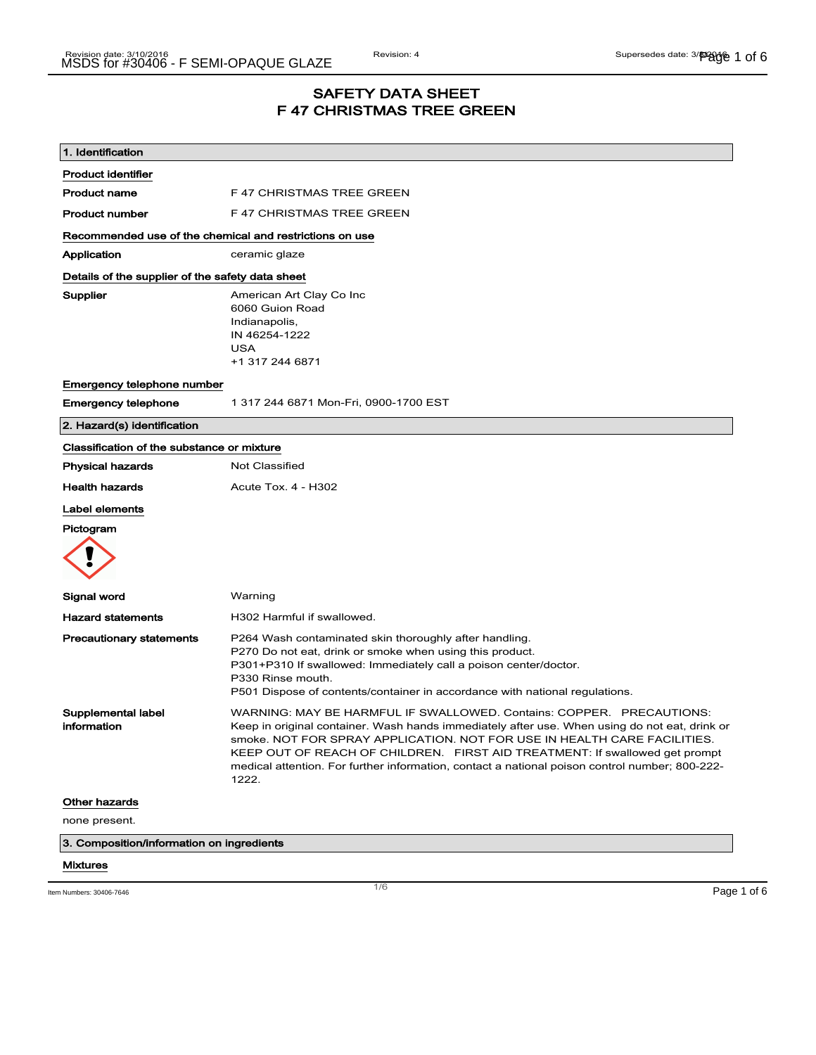# SAFETY DATA SHEET F 47 CHRISTMAS TREE GREEN

| F 47 CHRISTMAS TREE GREEN<br>F 47 CHRISTMAS TREE GREEN<br>Recommended use of the chemical and restrictions on use<br>ceramic glaze<br>Details of the supplier of the safety data sheet<br>American Art Clay Co Inc<br>6060 Guion Road                                                                                                                                                                                                       |
|---------------------------------------------------------------------------------------------------------------------------------------------------------------------------------------------------------------------------------------------------------------------------------------------------------------------------------------------------------------------------------------------------------------------------------------------|
|                                                                                                                                                                                                                                                                                                                                                                                                                                             |
|                                                                                                                                                                                                                                                                                                                                                                                                                                             |
|                                                                                                                                                                                                                                                                                                                                                                                                                                             |
|                                                                                                                                                                                                                                                                                                                                                                                                                                             |
|                                                                                                                                                                                                                                                                                                                                                                                                                                             |
|                                                                                                                                                                                                                                                                                                                                                                                                                                             |
| Indianapolis,<br>IN 46254-1222<br><b>USA</b><br>+1 317 244 6871                                                                                                                                                                                                                                                                                                                                                                             |
|                                                                                                                                                                                                                                                                                                                                                                                                                                             |
| 1 317 244 6871 Mon-Fri, 0900-1700 EST                                                                                                                                                                                                                                                                                                                                                                                                       |
|                                                                                                                                                                                                                                                                                                                                                                                                                                             |
| Classification of the substance or mixture                                                                                                                                                                                                                                                                                                                                                                                                  |
| Not Classified                                                                                                                                                                                                                                                                                                                                                                                                                              |
| Acute Tox. 4 - H302                                                                                                                                                                                                                                                                                                                                                                                                                         |
|                                                                                                                                                                                                                                                                                                                                                                                                                                             |
|                                                                                                                                                                                                                                                                                                                                                                                                                                             |
| Warning                                                                                                                                                                                                                                                                                                                                                                                                                                     |
| H302 Harmful if swallowed.                                                                                                                                                                                                                                                                                                                                                                                                                  |
| P264 Wash contaminated skin thoroughly after handling.<br>P270 Do not eat, drink or smoke when using this product.<br>P301+P310 If swallowed: Immediately call a poison center/doctor.<br>P330 Rinse mouth.<br>P501 Dispose of contents/container in accordance with national regulations.                                                                                                                                                  |
| WARNING: MAY BE HARMFUL IF SWALLOWED. Contains: COPPER. PRECAUTIONS:<br>Keep in original container. Wash hands immediately after use. When using do not eat, drink or<br>smoke. NOT FOR SPRAY APPLICATION. NOT FOR USE IN HEALTH CARE FACILITIES.<br>KEEP OUT OF REACH OF CHILDREN. FIRST AID TREATMENT: If swallowed get prompt<br>medical attention. For further information, contact a national poison control number; 800-222-<br>1222. |
|                                                                                                                                                                                                                                                                                                                                                                                                                                             |
|                                                                                                                                                                                                                                                                                                                                                                                                                                             |
| 3. Composition/information on ingredients                                                                                                                                                                                                                                                                                                                                                                                                   |
|                                                                                                                                                                                                                                                                                                                                                                                                                                             |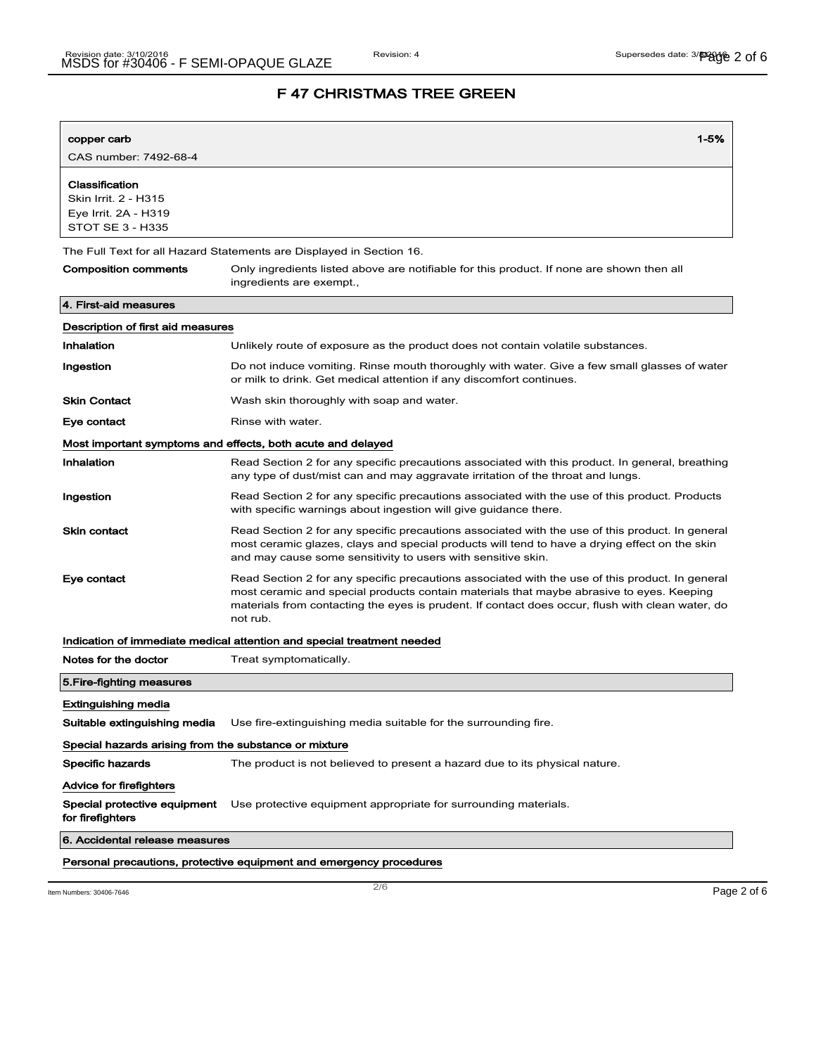| copper carb                                                                        | $1 - 5%$                                                                                                                                                                                                                                                                                                    |  |
|------------------------------------------------------------------------------------|-------------------------------------------------------------------------------------------------------------------------------------------------------------------------------------------------------------------------------------------------------------------------------------------------------------|--|
| CAS number: 7492-68-4                                                              |                                                                                                                                                                                                                                                                                                             |  |
| Classification<br>Skin Irrit. 2 - H315<br>Eye Irrit. 2A - H319<br>STOT SE 3 - H335 |                                                                                                                                                                                                                                                                                                             |  |
| The Full Text for all Hazard Statements are Displayed in Section 16.               |                                                                                                                                                                                                                                                                                                             |  |
| <b>Composition comments</b>                                                        | Only ingredients listed above are notifiable for this product. If none are shown then all<br>ingredients are exempt.,                                                                                                                                                                                       |  |
| 4. First-aid measures                                                              |                                                                                                                                                                                                                                                                                                             |  |
| Description of first aid measures                                                  |                                                                                                                                                                                                                                                                                                             |  |
| Inhalation                                                                         | Unlikely route of exposure as the product does not contain volatile substances.                                                                                                                                                                                                                             |  |
| Ingestion                                                                          | Do not induce vomiting. Rinse mouth thoroughly with water. Give a few small glasses of water<br>or milk to drink. Get medical attention if any discomfort continues.                                                                                                                                        |  |
| <b>Skin Contact</b>                                                                | Wash skin thoroughly with soap and water.                                                                                                                                                                                                                                                                   |  |
| Eye contact                                                                        | Rinse with water.                                                                                                                                                                                                                                                                                           |  |
|                                                                                    | Most important symptoms and effects, both acute and delayed                                                                                                                                                                                                                                                 |  |
| Inhalation                                                                         | Read Section 2 for any specific precautions associated with this product. In general, breathing<br>any type of dust/mist can and may aggravate irritation of the throat and lungs.                                                                                                                          |  |
| Ingestion                                                                          | Read Section 2 for any specific precautions associated with the use of this product. Products<br>with specific warnings about ingestion will give guidance there.                                                                                                                                           |  |
| <b>Skin contact</b>                                                                | Read Section 2 for any specific precautions associated with the use of this product. In general<br>most ceramic glazes, clays and special products will tend to have a drying effect on the skin<br>and may cause some sensitivity to users with sensitive skin.                                            |  |
| Eye contact                                                                        | Read Section 2 for any specific precautions associated with the use of this product. In general<br>most ceramic and special products contain materials that maybe abrasive to eyes. Keeping<br>materials from contacting the eyes is prudent. If contact does occur, flush with clean water, do<br>not rub. |  |
|                                                                                    | Indication of immediate medical attention and special treatment needed                                                                                                                                                                                                                                      |  |
| Notes for the doctor                                                               | Treat symptomatically.                                                                                                                                                                                                                                                                                      |  |
| 5. Fire-fighting measures                                                          |                                                                                                                                                                                                                                                                                                             |  |
| <b>Extinguishing media</b>                                                         |                                                                                                                                                                                                                                                                                                             |  |
| Suitable extinguishing media                                                       | Use fire-extinguishing media suitable for the surrounding fire.                                                                                                                                                                                                                                             |  |
| Special hazards arising from the substance or mixture                              |                                                                                                                                                                                                                                                                                                             |  |
| Specific hazards                                                                   | The product is not believed to present a hazard due to its physical nature.                                                                                                                                                                                                                                 |  |
| Advice for firefighters                                                            |                                                                                                                                                                                                                                                                                                             |  |
| Special protective equipment<br>for firefighters                                   | Use protective equipment appropriate for surrounding materials.                                                                                                                                                                                                                                             |  |
| 6. Accidental release measures                                                     |                                                                                                                                                                                                                                                                                                             |  |
| Personal precautions, protective equipment and emergency procedures                |                                                                                                                                                                                                                                                                                                             |  |

Item Numbers: 30406-7646 **Page 2 of 6**  $\overline{2/6}$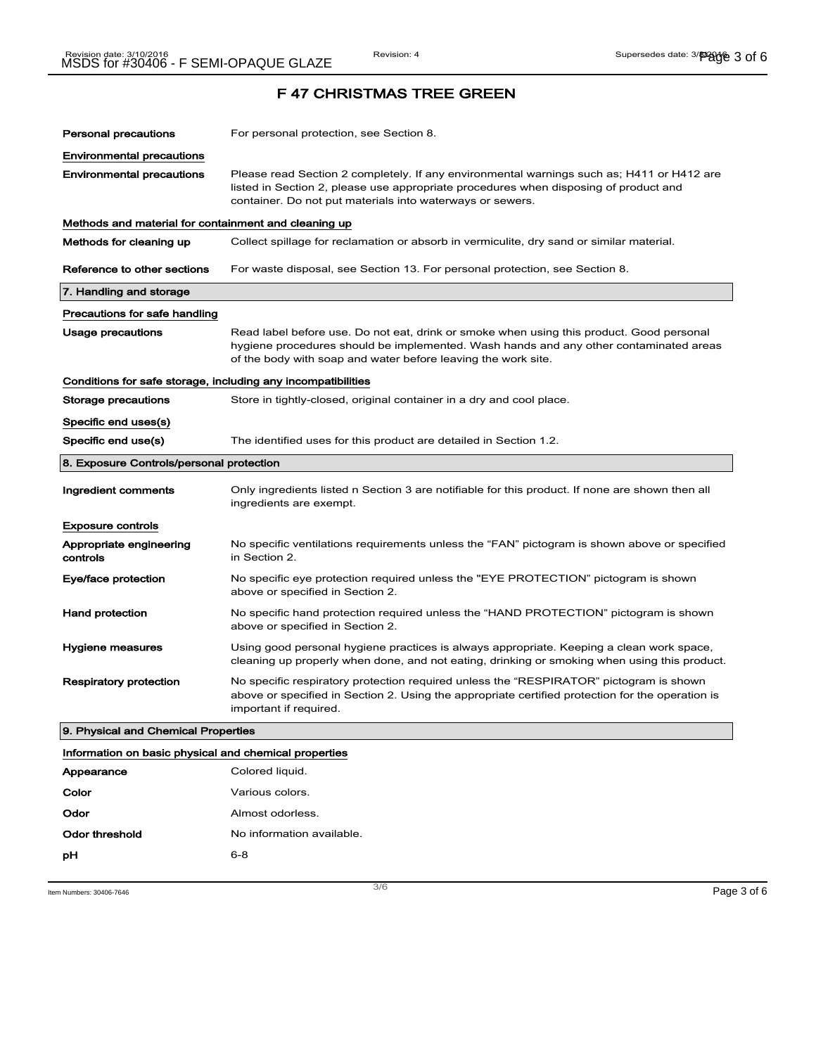| <b>Personal precautions</b>                                  | For personal protection, see Section 8.                                                                                                                                                                                                            |  |  |  |
|--------------------------------------------------------------|----------------------------------------------------------------------------------------------------------------------------------------------------------------------------------------------------------------------------------------------------|--|--|--|
| <b>Environmental precautions</b>                             |                                                                                                                                                                                                                                                    |  |  |  |
| <b>Environmental precautions</b>                             | Please read Section 2 completely. If any environmental warnings such as; H411 or H412 are<br>listed in Section 2, please use appropriate procedures when disposing of product and<br>container. Do not put materials into waterways or sewers.     |  |  |  |
| Methods and material for containment and cleaning up         |                                                                                                                                                                                                                                                    |  |  |  |
| Methods for cleaning up                                      | Collect spillage for reclamation or absorb in vermiculite, dry sand or similar material.                                                                                                                                                           |  |  |  |
| Reference to other sections                                  | For waste disposal, see Section 13. For personal protection, see Section 8.                                                                                                                                                                        |  |  |  |
| 7. Handling and storage                                      |                                                                                                                                                                                                                                                    |  |  |  |
| Precautions for safe handling                                |                                                                                                                                                                                                                                                    |  |  |  |
| <b>Usage precautions</b>                                     | Read label before use. Do not eat, drink or smoke when using this product. Good personal<br>hygiene procedures should be implemented. Wash hands and any other contaminated areas<br>of the body with soap and water before leaving the work site. |  |  |  |
| Conditions for safe storage, including any incompatibilities |                                                                                                                                                                                                                                                    |  |  |  |
| <b>Storage precautions</b>                                   | Store in tightly-closed, original container in a dry and cool place.                                                                                                                                                                               |  |  |  |
| Specific end uses(s)                                         |                                                                                                                                                                                                                                                    |  |  |  |
| Specific end use(s)                                          | The identified uses for this product are detailed in Section 1.2.                                                                                                                                                                                  |  |  |  |
| 8. Exposure Controls/personal protection                     |                                                                                                                                                                                                                                                    |  |  |  |
| Ingredient comments                                          | Only ingredients listed n Section 3 are notifiable for this product. If none are shown then all<br>ingredients are exempt.                                                                                                                         |  |  |  |
| <b>Exposure controls</b>                                     |                                                                                                                                                                                                                                                    |  |  |  |
| Appropriate engineering<br>controls                          | No specific ventilations requirements unless the "FAN" pictogram is shown above or specified<br>in Section 2.                                                                                                                                      |  |  |  |
| Eye/face protection                                          | No specific eye protection required unless the "EYE PROTECTION" pictogram is shown<br>above or specified in Section 2.                                                                                                                             |  |  |  |
| <b>Hand protection</b>                                       | No specific hand protection required unless the "HAND PROTECTION" pictogram is shown<br>above or specified in Section 2.                                                                                                                           |  |  |  |
| Hygiene measures                                             | Using good personal hygiene practices is always appropriate. Keeping a clean work space,<br>cleaning up properly when done, and not eating, drinking or smoking when using this product.                                                           |  |  |  |
| <b>Respiratory protection</b>                                | No specific respiratory protection required unless the "RESPIRATOR" pictogram is shown<br>above or specified in Section 2. Using the appropriate certified protection for the operation is<br>important if required.                               |  |  |  |
|                                                              | 9. Physical and Chemical Properties                                                                                                                                                                                                                |  |  |  |
| Information on basic physical and chemical properties        |                                                                                                                                                                                                                                                    |  |  |  |
| Appearance                                                   | Colored liquid.                                                                                                                                                                                                                                    |  |  |  |

| Appearance     | Colored liquid.           |
|----------------|---------------------------|
| Color          | Various colors.           |
| Odor           | Almost odorless.          |
| Odor threshold | No information available. |
| рH             | $6 - 8$                   |
|                |                           |

Item Numbers:  $30406-7646$   $Page 3 of 6$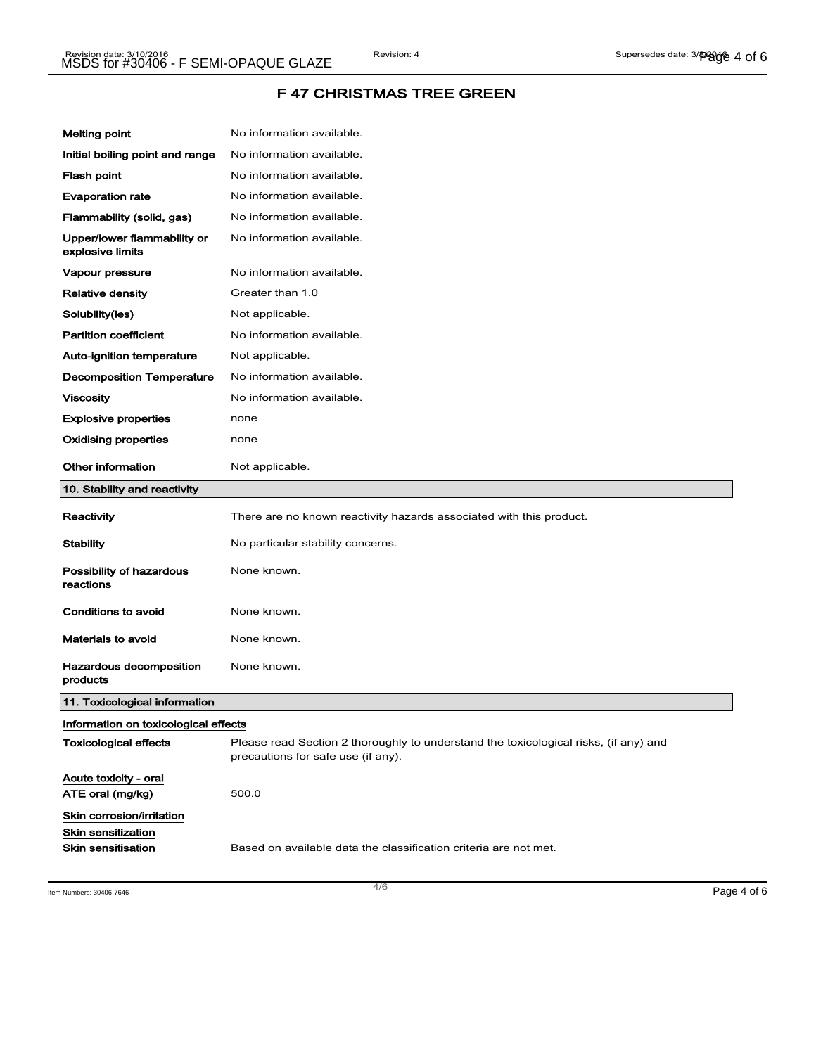| <b>Melting point</b>                                                  | No information available.                                                                                                  |
|-----------------------------------------------------------------------|----------------------------------------------------------------------------------------------------------------------------|
| Initial boiling point and range                                       | No information available.                                                                                                  |
| Flash point                                                           | No information available.                                                                                                  |
| <b>Evaporation rate</b>                                               | No information available.                                                                                                  |
| Flammability (solid, gas)                                             | No information available.                                                                                                  |
| Upper/lower flammability or<br>explosive limits                       | No information available.                                                                                                  |
| Vapour pressure                                                       | No information available.                                                                                                  |
| Relative density                                                      | Greater than 1.0                                                                                                           |
| Solubility(ies)                                                       | Not applicable.                                                                                                            |
| <b>Partition coefficient</b>                                          | No information available.                                                                                                  |
| Auto-ignition temperature                                             | Not applicable.                                                                                                            |
| <b>Decomposition Temperature</b>                                      | No information available.                                                                                                  |
| <b>Viscosity</b>                                                      | No information available.                                                                                                  |
| <b>Explosive properties</b>                                           | none                                                                                                                       |
| Oxidising properties                                                  | none                                                                                                                       |
| <b>Other information</b>                                              | Not applicable.                                                                                                            |
| 10. Stability and reactivity                                          |                                                                                                                            |
| Reactivity                                                            | There are no known reactivity hazards associated with this product.                                                        |
| <b>Stability</b>                                                      | No particular stability concerns.                                                                                          |
| Possibility of hazardous<br>reactions                                 | None known.                                                                                                                |
| Conditions to avoid                                                   | None known.                                                                                                                |
| Materials to avoid                                                    | None known.                                                                                                                |
| Hazardous decomposition<br>products                                   | None known.                                                                                                                |
| 11. Toxicological information                                         |                                                                                                                            |
| Information on toxicological effects                                  |                                                                                                                            |
| <b>Toxicological effects</b>                                          | Please read Section 2 thoroughly to understand the toxicological risks, (if any) and<br>precautions for safe use (if any). |
| Acute toxicity - oral<br>ATE oral (mg/kg)                             | 500.0                                                                                                                      |
| Skin corrosion/irritation<br>Skin sensitization<br>Skin sensitisation | Based on available data the classification criteria are not met.                                                           |

Item Numbers: 30406-7646 **Page 4 of 6**  $\overline{a}$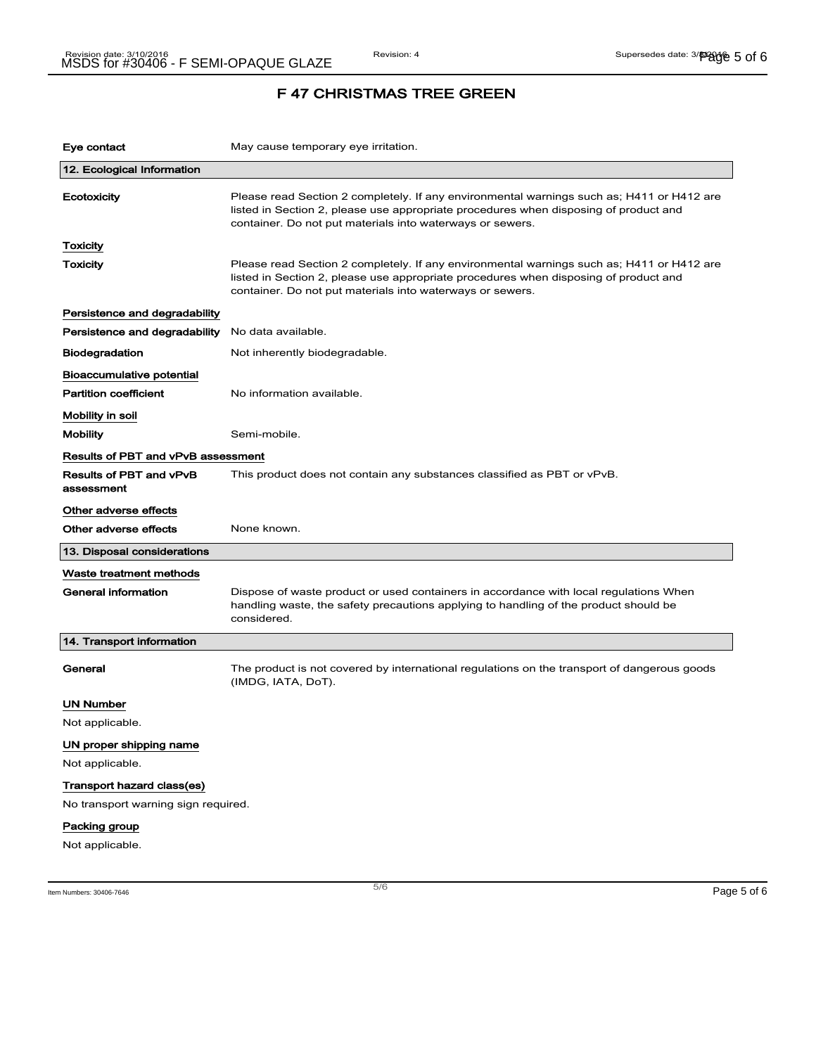| Eye contact                           | May cause temporary eye irritation.                                                                                                                                                                                                            |  |
|---------------------------------------|------------------------------------------------------------------------------------------------------------------------------------------------------------------------------------------------------------------------------------------------|--|
| 12. Ecological Information            |                                                                                                                                                                                                                                                |  |
| <b>Ecotoxicity</b>                    | Please read Section 2 completely. If any environmental warnings such as; H411 or H412 are<br>listed in Section 2, please use appropriate procedures when disposing of product and<br>container. Do not put materials into waterways or sewers. |  |
| Toxicity                              |                                                                                                                                                                                                                                                |  |
| Toxicity                              | Please read Section 2 completely. If any environmental warnings such as; H411 or H412 are<br>listed in Section 2, please use appropriate procedures when disposing of product and<br>container. Do not put materials into waterways or sewers. |  |
| Persistence and degradability         |                                                                                                                                                                                                                                                |  |
| Persistence and degradability         | No data available.                                                                                                                                                                                                                             |  |
| <b>Biodegradation</b>                 | Not inherently biodegradable.                                                                                                                                                                                                                  |  |
| Bioaccumulative potential             |                                                                                                                                                                                                                                                |  |
| <b>Partition coefficient</b>          | No information available.                                                                                                                                                                                                                      |  |
| Mobility in soil                      |                                                                                                                                                                                                                                                |  |
| <b>Mobility</b>                       | Semi-mobile.                                                                                                                                                                                                                                   |  |
| Results of PBT and vPvB assessment    |                                                                                                                                                                                                                                                |  |
| Results of PBT and vPvB<br>assessment | This product does not contain any substances classified as PBT or vPvB.                                                                                                                                                                        |  |
| Other adverse effects                 |                                                                                                                                                                                                                                                |  |
| Other adverse effects                 | None known.                                                                                                                                                                                                                                    |  |
| 13. Disposal considerations           |                                                                                                                                                                                                                                                |  |
| Waste treatment methods               |                                                                                                                                                                                                                                                |  |
| <b>General information</b>            | Dispose of waste product or used containers in accordance with local regulations When<br>handling waste, the safety precautions applying to handling of the product should be<br>considered.                                                   |  |
| 14. Transport information             |                                                                                                                                                                                                                                                |  |
| General                               | The product is not covered by international regulations on the transport of dangerous goods<br>(IMDG, IATA, DoT).                                                                                                                              |  |
| <b>UN Number</b>                      |                                                                                                                                                                                                                                                |  |
| Not applicable.                       |                                                                                                                                                                                                                                                |  |
| UN proper shipping name               |                                                                                                                                                                                                                                                |  |
| Not applicable.                       |                                                                                                                                                                                                                                                |  |
| Transport hazard class(es)            |                                                                                                                                                                                                                                                |  |
| No transport warning sign required.   |                                                                                                                                                                                                                                                |  |
| Packing group                         |                                                                                                                                                                                                                                                |  |
| Not applicable.                       |                                                                                                                                                                                                                                                |  |